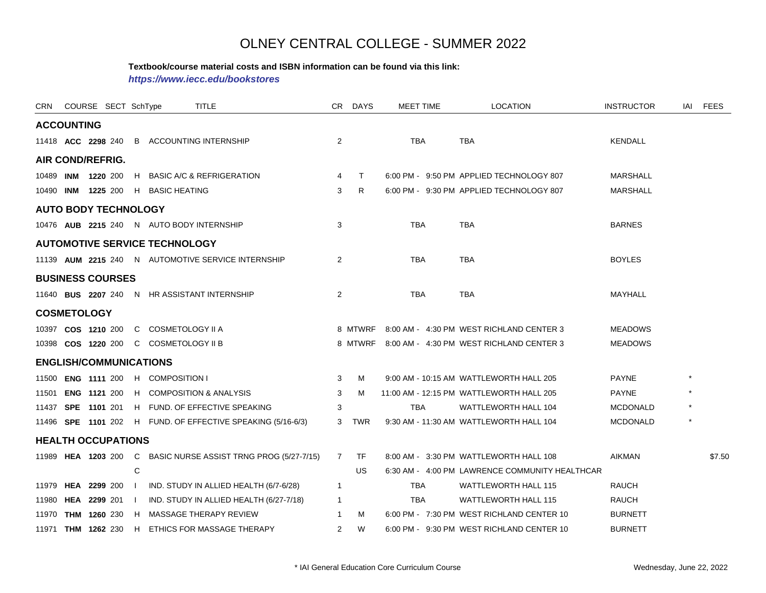#### **Textbook/course material costs and ISBN information can be found via this link:**

*https://www.iecc.edu/bookstores*

| CRN COURSE SECT SchType     |  |   |                                       | TITLE                                                         |                | CR DAYS | <b>MEET TIME</b> | <b>LOCATION</b>                                  | <b>INSTRUCTOR</b> | iai | <b>FEES</b> |
|-----------------------------|--|---|---------------------------------------|---------------------------------------------------------------|----------------|---------|------------------|--------------------------------------------------|-------------------|-----|-------------|
| <b>ACCOUNTING</b>           |  |   |                                       |                                                               |                |         |                  |                                                  |                   |     |             |
|                             |  |   |                                       | 11418 ACC 2298 240 B ACCOUNTING INTERNSHIP                    | 2              |         | <b>TBA</b>       | <b>TBA</b>                                       | <b>KENDALL</b>    |     |             |
| AIR COND/REFRIG.            |  |   |                                       |                                                               |                |         |                  |                                                  |                   |     |             |
|                             |  |   |                                       | 10489 INM 1220 200 H BASIC A/C & REFRIGERATION                | $\overline{4}$ | $\top$  |                  | 6:00 PM - 9:50 PM APPLIED TECHNOLOGY 807         | <b>MARSHALL</b>   |     |             |
|                             |  |   | 10490 INM 1225 200 H BASIC HEATING    |                                                               | 3              | R       |                  | 6:00 PM - 9:30 PM APPLIED TECHNOLOGY 807         | <b>MARSHALL</b>   |     |             |
| <b>AUTO BODY TECHNOLOGY</b> |  |   |                                       |                                                               |                |         |                  |                                                  |                   |     |             |
|                             |  |   |                                       | 10476 AUB 2215 240 N AUTO BODY INTERNSHIP                     | 3              |         | TBA              | TBA                                              | <b>BARNES</b>     |     |             |
|                             |  |   | <b>AUTOMOTIVE SERVICE TECHNOLOGY</b>  |                                                               |                |         |                  |                                                  |                   |     |             |
|                             |  |   |                                       | 11139 AUM 2215 240 N AUTOMOTIVE SERVICE INTERNSHIP            | 2              |         | TBA              | TBA                                              | <b>BOYLES</b>     |     |             |
| <b>BUSINESS COURSES</b>     |  |   |                                       |                                                               |                |         |                  |                                                  |                   |     |             |
|                             |  |   |                                       | 11640 BUS 2207 240 N HR ASSISTANT INTERNSHIP                  | $\overline{2}$ |         | TBA              | <b>TBA</b>                                       | MAYHALL           |     |             |
| <b>COSMETOLOGY</b>          |  |   |                                       |                                                               |                |         |                  |                                                  |                   |     |             |
|                             |  |   | 10397 COS 1210 200 C COSMETOLOGY II A |                                                               |                |         |                  | 8 MTWRF 8:00 AM - 4:30 PM WEST RICHLAND CENTER 3 | <b>MEADOWS</b>    |     |             |
|                             |  |   | 10398 COS 1220 200 C COSMETOLOGY II B |                                                               |                |         |                  | 8 MTWRF 8:00 AM - 4:30 PM WEST RICHLAND CENTER 3 | <b>MEADOWS</b>    |     |             |
|                             |  |   | <b>ENGLISH/COMMUNICATIONS</b>         |                                                               |                |         |                  |                                                  |                   |     |             |
|                             |  |   | 11500 ENG 1111 200 H COMPOSITION I    |                                                               | 3              | M       |                  | 9:00 AM - 10:15 AM WATTLEWORTH HALL 205          | <b>PAYNE</b>      |     |             |
|                             |  |   |                                       | 11501 ENG 1121 200 H COMPOSITION & ANALYSIS                   | 3              | М       |                  | 11:00 AM - 12:15 PM WATTLEWORTH HALL 205         | <b>PAYNE</b>      |     |             |
|                             |  |   |                                       | 11437 SPE 1101 201 H FUND. OF EFFECTIVE SPEAKING              | 3              |         | <b>TBA</b>       | WATTLEWORTH HALL 104                             | <b>MCDONALD</b>   |     |             |
|                             |  |   |                                       | 11496 SPE 1101 202 H FUND. OF EFFECTIVE SPEAKING (5/16-6/3)   |                | 3 TWR   |                  | 9:30 AM - 11:30 AM WATTLEWORTH HALL 104          | <b>MCDONALD</b>   |     |             |
| <b>HEALTH OCCUPATIONS</b>   |  |   |                                       |                                                               |                |         |                  |                                                  |                   |     |             |
|                             |  |   |                                       | 11989 HEA 1203 200 C BASIC NURSE ASSIST TRNG PROG (5/27-7/15) | $7^{\circ}$    | TF.     |                  | 8:00 AM - 3:30 PM WATTLEWORTH HALL 108           | <b>AIKMAN</b>     |     | \$7.50      |
|                             |  | C |                                       |                                                               |                | US.     |                  | 6:30 AM - 4:00 PM LAWRENCE COMMUNITY HEALTHCAR   |                   |     |             |
|                             |  |   |                                       | 11979 HEA 2299 200   IND. STUDY IN ALLIED HEALTH (6/7-6/28)   | $\mathbf{1}$   |         | <b>TBA</b>       | <b>WATTLEWORTH HALL 115</b>                      | <b>RAUCH</b>      |     |             |
|                             |  |   |                                       | 11980 HEA 2299 201   IND. STUDY IN ALLIED HEALTH (6/27-7/18)  | $\mathbf{1}$   |         | <b>TBA</b>       | <b>WATTLEWORTH HALL 115</b>                      | <b>RAUCH</b>      |     |             |
|                             |  |   |                                       | 11970 THM 1260 230 H MASSAGE THERAPY REVIEW                   | $\overline{1}$ | м       |                  | 6:00 PM - 7:30 PM WEST RICHLAND CENTER 10        | <b>BURNETT</b>    |     |             |
|                             |  |   |                                       | 11971 THM 1262 230 H ETHICS FOR MASSAGE THERAPY               | $\overline{2}$ | W       |                  | 6:00 PM - 9:30 PM WEST RICHLAND CENTER 10        | <b>BURNETT</b>    |     |             |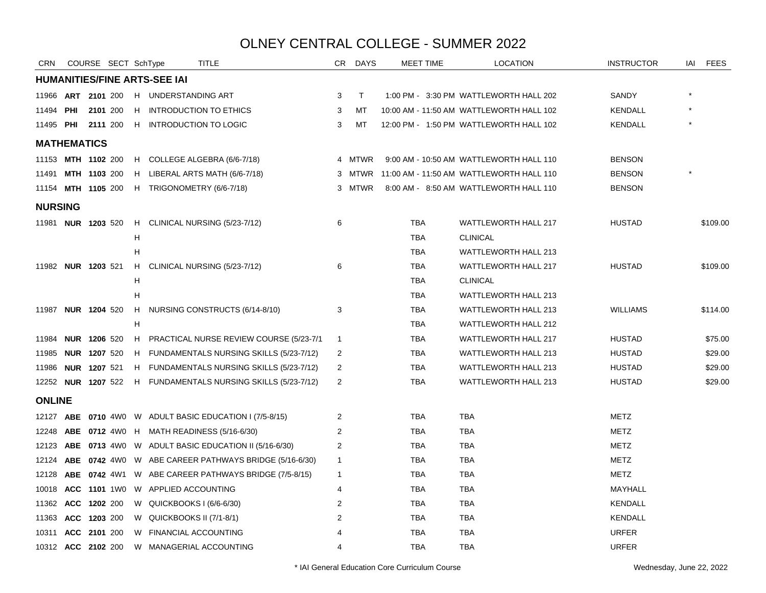| <b>CRN</b>                |                     | COURSE SECT SchType |    |                                     | TITLE                                                        | CR.            | DAYS         |            | MEET TIME | <b>LOCATION</b>                          | <b>INSTRUCTOR</b> | iai | <b>FEES</b> |
|---------------------------|---------------------|---------------------|----|-------------------------------------|--------------------------------------------------------------|----------------|--------------|------------|-----------|------------------------------------------|-------------------|-----|-------------|
|                           |                     |                     |    | <b>HUMANITIES/FINE ARTS-SEE IAI</b> |                                                              |                |              |            |           |                                          |                   |     |             |
| 11966                     | ART 2101 200        |                     |    | H UNDERSTANDING ART                 |                                                              | 3              | $\mathsf{T}$ |            |           | 1:00 PM - 3:30 PM WATTLEWORTH HALL 202   | SANDY             |     |             |
| 11494 <b>PHI</b>          |                     | 2101 200            |    |                                     | H INTRODUCTION TO ETHICS                                     | 3              | MT           |            |           | 10:00 AM - 11:50 AM WATTLEWORTH HALL 102 | <b>KENDALL</b>    |     |             |
| 11495 <b>PHI 2111</b> 200 |                     |                     |    |                                     | H INTRODUCTION TO LOGIC                                      | 3              | MT           |            |           | 12:00 PM - 1:50 PM WATTLEWORTH HALL 102  | <b>KENDALL</b>    |     |             |
| <b>MATHEMATICS</b>        |                     |                     |    |                                     |                                                              |                |              |            |           |                                          |                   |     |             |
| 11153 MTH 1102 200        |                     |                     |    |                                     | H COLLEGE ALGEBRA (6/6-7/18)                                 |                | 4 MTWR       |            |           | 9:00 AM - 10:50 AM WATTLEWORTH HALL 110  | <b>BENSON</b>     |     |             |
| 11491                     |                     | <b>MTH 1103 200</b> |    |                                     | H LIBERAL ARTS MATH (6/6-7/18)                               |                | 3 MTWR       |            |           | 11:00 AM - 11:50 AM WATTLEWORTH HALL 110 | <b>BENSON</b>     |     |             |
| 11154 MTH 1105 200        |                     |                     |    |                                     | H TRIGONOMETRY (6/6-7/18)                                    |                | 3 MTWR       |            |           | 8:00 AM - 8:50 AM WATTLEWORTH HALL 110   | <b>BENSON</b>     |     |             |
| <b>NURSING</b>            |                     |                     |    |                                     |                                                              |                |              |            |           |                                          |                   |     |             |
| 11981 <b>NUR 1203</b> 520 |                     |                     |    |                                     | H CLINICAL NURSING (5/23-7/12)                               | 6              |              | <b>TBA</b> |           | WATTLEWORTH HALL 217                     | <b>HUSTAD</b>     |     | \$109.00    |
|                           |                     |                     | н  |                                     |                                                              |                |              | <b>TBA</b> |           | <b>CLINICAL</b>                          |                   |     |             |
|                           |                     |                     | н  |                                     |                                                              |                |              | <b>TBA</b> |           | <b>WATTLEWORTH HALL 213</b>              |                   |     |             |
| 11982 <b>NUR 1203</b> 521 |                     |                     | H. |                                     | CLINICAL NURSING (5/23-7/12)                                 | 6              |              | <b>TBA</b> |           | <b>WATTLEWORTH HALL 217</b>              | <b>HUSTAD</b>     |     | \$109.00    |
|                           |                     |                     | н  |                                     |                                                              |                |              | <b>TBA</b> |           | <b>CLINICAL</b>                          |                   |     |             |
|                           |                     |                     | н  |                                     |                                                              |                |              | <b>TBA</b> |           | <b>WATTLEWORTH HALL 213</b>              |                   |     |             |
| 11987 NUR 1204 520        |                     |                     |    |                                     | H NURSING CONSTRUCTS (6/14-8/10)                             | 3              |              | <b>TBA</b> |           | <b>WATTLEWORTH HALL 213</b>              | <b>WILLIAMS</b>   |     | \$114.00    |
|                           |                     |                     | H  |                                     |                                                              |                |              | <b>TBA</b> |           | <b>WATTLEWORTH HALL 212</b>              |                   |     |             |
| 11984 NUR 1206 520        |                     |                     |    |                                     | H PRACTICAL NURSE REVIEW COURSE (5/23-7/1                    | $\mathbf{1}$   |              | <b>TBA</b> |           | <b>WATTLEWORTH HALL 217</b>              | <b>HUSTAD</b>     |     | \$75.00     |
| 11985                     | <b>NUR 1207 520</b> |                     |    |                                     | H FUNDAMENTALS NURSING SKILLS (5/23-7/12)                    | 2              |              | <b>TBA</b> |           | <b>WATTLEWORTH HALL 213</b>              | <b>HUSTAD</b>     |     | \$29.00     |
| 11986                     | <b>NUR 1207 521</b> |                     |    |                                     | H FUNDAMENTALS NURSING SKILLS (5/23-7/12)                    | 2              |              | <b>TBA</b> |           | <b>WATTLEWORTH HALL 213</b>              | <b>HUSTAD</b>     |     | \$29.00     |
|                           |                     |                     |    |                                     | 12252 NUR 1207 522 H FUNDAMENTALS NURSING SKILLS (5/23-7/12) | $\overline{2}$ |              | <b>TBA</b> |           | WATTLEWORTH HALL 213                     | <b>HUSTAD</b>     |     | \$29.00     |
| <b>ONLINE</b>             |                     |                     |    |                                     |                                                              |                |              |            |           |                                          |                   |     |             |
|                           |                     |                     |    |                                     | 12127 ABE 0710 4W0 W ADULT BASIC EDUCATION I (7/5-8/15)      | $\overline{2}$ |              | <b>TBA</b> |           | TBA                                      | <b>METZ</b>       |     |             |
| 12248                     |                     |                     |    |                                     | ABE 0712 4W0 H MATH READINESS (5/16-6/30)                    | 2              |              | TBA        |           | <b>TBA</b>                               | <b>METZ</b>       |     |             |
| 12123                     |                     |                     |    |                                     | ABE 0713 4W0 W ADULT BASIC EDUCATION II (5/16-6/30)          | 2              |              | <b>TBA</b> |           | <b>TBA</b>                               | <b>METZ</b>       |     |             |
| 12124                     |                     |                     |    |                                     | ABE 0742 4W0 W ABE CAREER PATHWAYS BRIDGE (5/16-6/30)        | $\mathbf{1}$   |              | <b>TBA</b> |           | TBA                                      | <b>METZ</b>       |     |             |
| 12128                     |                     | <b>ABE 0742 4W1</b> |    |                                     | W ABE CAREER PATHWAYS BRIDGE (7/5-8/15)                      | $\mathbf{1}$   |              | <b>TBA</b> |           | <b>TBA</b>                               | METZ              |     |             |
| 10018                     |                     |                     |    | ACC 1101 1W0 W APPLIED ACCOUNTING   |                                                              | 4              |              | TBA        |           | <b>TBA</b>                               | MAYHALL           |     |             |
| 11362                     |                     | ACC 1202 200        |    | W QUICKBOOKS I (6/6-6/30)           |                                                              | 2              |              | <b>TBA</b> |           | <b>TBA</b>                               | <b>KENDALL</b>    |     |             |
| 11363 ACC 1203 200        |                     |                     |    | W QUICKBOOKS II (7/1-8/1)           |                                                              | 2              |              | TBA        |           | TBA                                      | KENDALL           |     |             |
| 10311                     |                     | ACC 2101 200        |    | W FINANCIAL ACCOUNTING              |                                                              | Δ              |              | TBA        |           | <b>TBA</b>                               | <b>URFER</b>      |     |             |
| 10312 ACC 2102 200        |                     |                     |    |                                     | W MANAGERIAL ACCOUNTING                                      | 4              |              | <b>TBA</b> |           | <b>TBA</b>                               | <b>URFER</b>      |     |             |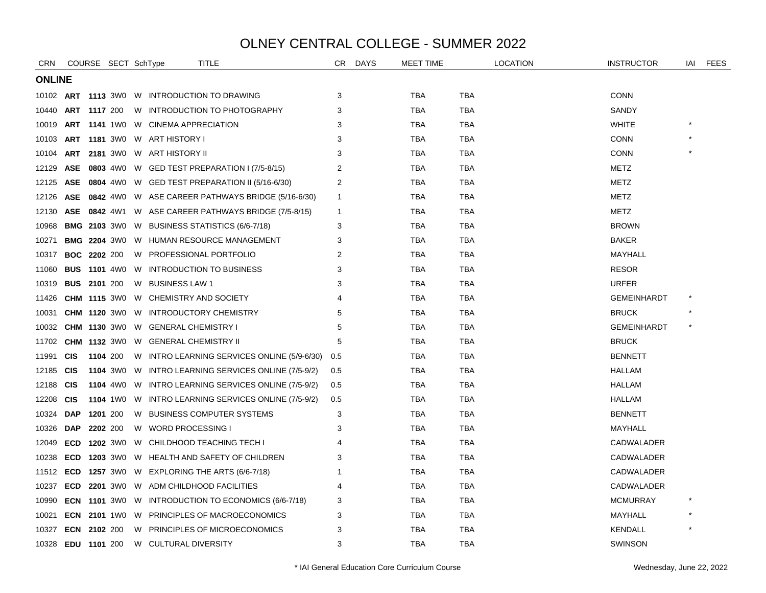| <b>CRN</b>         |                     |                     | COURSE SECT SchType | TITLE                                                       | CR.            | <b>DAYS</b> | MEET TIME  |            | <b>LOCATION</b> | <b>INSTRUCTOR</b>  | IAI | <b>FEES</b> |
|--------------------|---------------------|---------------------|---------------------|-------------------------------------------------------------|----------------|-------------|------------|------------|-----------------|--------------------|-----|-------------|
| <b>ONLINE</b>      |                     |                     |                     |                                                             |                |             |            |            |                 |                    |     |             |
|                    |                     |                     |                     | 10102 ART 1113 3W0 W INTRODUCTION TO DRAWING                | 3              |             | <b>TBA</b> | <b>TBA</b> |                 | <b>CONN</b>        |     |             |
| 10440              | <b>ART 1117 200</b> |                     |                     | W INTRODUCTION TO PHOTOGRAPHY                               | 3              |             | TBA        | <b>TBA</b> |                 | SANDY              |     |             |
| 10019              |                     |                     |                     | ART 1141 1W0 W CINEMA APPRECIATION                          | 3              |             | <b>TBA</b> | <b>TBA</b> |                 | <b>WHITE</b>       |     |             |
| 10103              |                     |                     |                     | <b>ART 1181</b> 3W0 W ART HISTORY I                         | 3              |             | <b>TBA</b> | <b>TBA</b> |                 | <b>CONN</b>        |     |             |
| 10104              |                     |                     |                     | ART 2181 3WO W ART HISTORY II                               | 3              |             | <b>TBA</b> | <b>TBA</b> |                 | <b>CONN</b>        |     |             |
| 12129              | <b>ASE</b>          |                     |                     | 0803 4W0 W GED TEST PREPARATION I (7/5-8/15)                | $\overline{2}$ |             | <b>TBA</b> | <b>TBA</b> |                 | METZ               |     |             |
| 12125              |                     |                     |                     | ASE 0804 4W0 W GED TEST PREPARATION II (5/16-6/30)          | 2              |             | <b>TBA</b> | <b>TBA</b> |                 | <b>METZ</b>        |     |             |
| 12126              |                     |                     |                     | ASE 0842 4W0 W ASE CAREER PATHWAYS BRIDGE (5/16-6/30)       | $\mathbf 1$    |             | TBA        | TBA        |                 | METZ               |     |             |
| 12130              |                     |                     |                     | <b>ASE 0842</b> 4W1 W ASE CAREER PATHWAYS BRIDGE (7/5-8/15) | $\mathbf{1}$   |             | TBA        | <b>TBA</b> |                 | <b>METZ</b>        |     |             |
| 10968              |                     |                     |                     | <b>BMG 2103 3WO W BUSINESS STATISTICS (6/6-7/18)</b>        | 3              |             | <b>TBA</b> | <b>TBA</b> |                 | <b>BROWN</b>       |     |             |
| 10271              |                     |                     |                     | <b>BMG 2204 3W0 W HUMAN RESOURCE MANAGEMENT</b>             | 3              |             | TBA        | TBA        |                 | <b>BAKER</b>       |     |             |
| 10317              |                     | <b>BOC 2202 200</b> |                     | W PROFESSIONAL PORTFOLIO                                    | 2              |             | <b>TBA</b> | <b>TBA</b> |                 | MAYHALL            |     |             |
| 11060              |                     |                     |                     | <b>BUS 1101 4W0 W INTRODUCTION TO BUSINESS</b>              | 3              |             | TBA        | <b>TBA</b> |                 | <b>RESOR</b>       |     |             |
| 10319              | <b>BUS 2101 200</b> |                     |                     | W BUSINESS LAW 1                                            | 3              |             | TBA        | TBA        |                 | <b>URFER</b>       |     |             |
| 11426              |                     |                     | <b>CHM 1115 3W0</b> | W CHEMISTRY AND SOCIETY                                     |                |             | <b>TBA</b> | <b>TBA</b> |                 | <b>GEMEINHARDT</b> |     |             |
| 10031              |                     |                     | <b>CHM 1120 3W0</b> | W INTRODUCTORY CHEMISTRY                                    | 5              |             | <b>TBA</b> | <b>TBA</b> |                 | <b>BRUCK</b>       |     |             |
| 10032              |                     |                     |                     | <b>CHM 1130</b> 3W0 W GENERAL CHEMISTRY I                   | 5              |             | TBA        | TBA        |                 | <b>GEMEINHARDT</b> |     |             |
| 11702              |                     |                     |                     | <b>CHM 1132 3WO W GENERAL CHEMISTRY II</b>                  | 5              |             | <b>TBA</b> | <b>TBA</b> |                 | <b>BRUCK</b>       |     |             |
| 11991              | <b>CIS</b>          |                     | 1104 200            | W INTRO LEARNING SERVICES ONLINE (5/9-6/30)                 | 0.5            |             | TBA        | <b>TBA</b> |                 | <b>BENNETT</b>     |     |             |
| 12185              | <b>CIS</b>          |                     |                     | 1104 3W0 W INTRO LEARNING SERVICES ONLINE (7/5-9/2)         | 0.5            |             | TBA        | TBA        |                 | HALLAM             |     |             |
| 12188              | <b>CIS</b>          |                     | <b>1104</b> 4W0     | W INTRO LEARNING SERVICES ONLINE (7/5-9/2)                  | 0.5            |             | <b>TBA</b> | <b>TBA</b> |                 | HALLAM             |     |             |
| 12208              | <b>CIS</b>          |                     |                     | 1104 1W0 W INTRO LEARNING SERVICES ONLINE (7/5-9/2)         | 0.5            |             | TBA        | <b>TBA</b> |                 | HALLAM             |     |             |
| 10324              | DAP                 |                     | 1201 200            | W BUSINESS COMPUTER SYSTEMS                                 | 3              |             | TBA        | TBA        |                 | <b>BENNETT</b>     |     |             |
| 10326              | <b>DAP</b>          | 2202 200            |                     | W WORD PROCESSING I                                         | 3              |             | <b>TBA</b> | <b>TBA</b> |                 | MAYHALL            |     |             |
| 12049              | <b>ECD</b>          |                     | <b>1202</b> 3W0     | W CHILDHOOD TEACHING TECH I                                 |                |             | <b>TBA</b> | <b>TBA</b> |                 | CADWALADER         |     |             |
| 10238              | <b>ECD</b>          |                     |                     | 1203 3W0 W HEALTH AND SAFETY OF CHILDREN                    | 3              |             | <b>TBA</b> | <b>TBA</b> |                 | CADWALADER         |     |             |
| 11512              |                     |                     |                     | <b>ECD 1257</b> 3W0 W EXPLORING THE ARTS (6/6-7/18)         |                |             | <b>TBA</b> | <b>TBA</b> |                 | CADWALADER         |     |             |
| 10237              |                     |                     |                     | <b>ECD 2201 3WO W ADM CHILDHOOD FACILITIES</b>              | 4              |             | TBA        | <b>TBA</b> |                 | CADWALADER         |     |             |
| 10990              |                     |                     |                     | <b>ECN 1101 3WO W INTRODUCTION TO ECONOMICS (6/6-7/18)</b>  | 3              |             | TBA        | TBA        |                 | <b>MCMURRAY</b>    |     |             |
| 10021              |                     |                     |                     | <b>ECN 2101 1WO W PRINCIPLES OF MACROECONOMICS</b>          | 3              |             | <b>TBA</b> | <b>TBA</b> |                 | MAYHALL            |     |             |
| 10327              | ECN                 | 2102 200            |                     | W PRINCIPLES OF MICROECONOMICS                              | 3              |             | TBA        | TBA        |                 | KENDALL            |     |             |
| 10328 EDU 1101 200 |                     |                     |                     | W CULTURAL DIVERSITY                                        | 3              |             | TBA        | TBA        |                 | <b>SWINSON</b>     |     |             |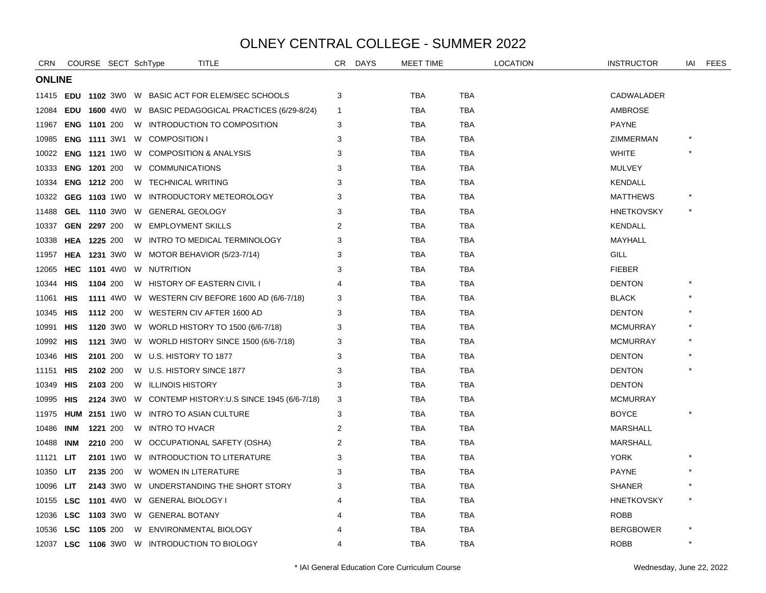| <b>CRN</b>    |            | COURSE SECT SchType |   | TITLE                                                         | CR             | <b>DAYS</b> | <b>MEET TIME</b> |            | <b>LOCATION</b> | <b>INSTRUCTOR</b> | iai | <b>FEES</b> |
|---------------|------------|---------------------|---|---------------------------------------------------------------|----------------|-------------|------------------|------------|-----------------|-------------------|-----|-------------|
| <b>ONLINE</b> |            |                     |   |                                                               |                |             |                  |            |                 |                   |     |             |
| 11415         |            |                     |   | <b>EDU 1102 3WO W BASIC ACT FOR ELEM/SEC SCHOOLS</b>          | 3              |             | <b>TBA</b>       | <b>TBA</b> |                 | CADWALADER        |     |             |
| 12084         |            |                     |   | <b>EDU 1600</b> 4W0 W BASIC PEDAGOGICAL PRACTICES (6/29-8/24) | 1              |             | <b>TBA</b>       | <b>TBA</b> |                 | AMBROSE           |     |             |
| 11967         |            | <b>ENG 1101 200</b> |   | W INTRODUCTION TO COMPOSITION                                 | 3              |             | TBA              | TBA        |                 | <b>PAYNE</b>      |     |             |
| 10985         |            |                     |   | <b>ENG 1111 3W1 W COMPOSITION I</b>                           | 3              |             | <b>TBA</b>       | <b>TBA</b> |                 | <b>ZIMMERMAN</b>  |     |             |
| 10022         |            | <b>ENG 1121 1W0</b> |   | W COMPOSITION & ANALYSIS                                      | 3              |             | <b>TBA</b>       | <b>TBA</b> |                 | <b>WHITE</b>      |     |             |
| 10333         |            | <b>ENG 1201 200</b> | W | <b>COMMUNICATIONS</b>                                         | 3              |             | <b>TBA</b>       | <b>TBA</b> |                 | <b>MULVEY</b>     |     |             |
| 10334         |            | <b>ENG 1212 200</b> |   | W TECHNICAL WRITING                                           | 3              |             | <b>TBA</b>       | <b>TBA</b> |                 | <b>KENDALL</b>    |     |             |
| 10322         |            |                     |   | GEG 1103 1W0 W INTRODUCTORY METEOROLOGY                       | 3              |             | <b>TBA</b>       | <b>TBA</b> |                 | <b>MATTHEWS</b>   |     |             |
| 11488         |            |                     |   | GEL 1110 3W0 W GENERAL GEOLOGY                                | 3              |             | <b>TBA</b>       | <b>TBA</b> |                 | <b>HNETKOVSKY</b> |     |             |
| 10337         |            | GEN 2297 200        |   | W EMPLOYMENT SKILLS                                           | 2              |             | <b>TBA</b>       | TBA        |                 | <b>KENDALL</b>    |     |             |
| 10338         |            | <b>HEA 1225 200</b> |   | W INTRO TO MEDICAL TERMINOLOGY                                | 3              |             | <b>TBA</b>       | <b>TBA</b> |                 | MAYHALL           |     |             |
| 11957         |            |                     |   | <b>HEA 1231</b> 3W0 W MOTOR BEHAVIOR (5/23-7/14)              | 3              |             | <b>TBA</b>       | TBA        |                 | GILL              |     |             |
| 12065         |            |                     |   | HEC 1101 4W0 W NUTRITION                                      | 3              |             | <b>TBA</b>       | TBA        |                 | <b>FIEBER</b>     |     |             |
| 10344         | <b>HIS</b> | 1104 200            |   | W HISTORY OF EASTERN CIVIL I                                  |                |             | <b>TBA</b>       | <b>TBA</b> |                 | <b>DENTON</b>     |     |             |
| 11061         | HIS        | <b>1111</b> 4W0     |   | W WESTERN CIV BEFORE 1600 AD (6/6-7/18)                       | 3              |             | <b>TBA</b>       | <b>TBA</b> |                 | <b>BLACK</b>      |     |             |
| 10345         | HIS        | 1112 200            |   | W WESTERN CIV AFTER 1600 AD                                   | 3              |             | <b>TBA</b>       | TBA        |                 | <b>DENTON</b>     |     |             |
| 10991         | HIS        |                     |   | 1120 3W0 W WORLD HISTORY TO 1500 (6/6-7/18)                   | 3              |             | <b>TBA</b>       | TBA        |                 | <b>MCMURRAY</b>   |     |             |
| 10992         | HIS        |                     |   | 1121 3W0 W WORLD HISTORY SINCE 1500 (6/6-7/18)                | 3              |             | <b>TBA</b>       | <b>TBA</b> |                 | <b>MCMURRAY</b>   |     |             |
| 10346         | <b>HIS</b> | 2101 200            |   | W U.S. HISTORY TO 1877                                        | 3              |             | <b>TBA</b>       | <b>TBA</b> |                 | <b>DENTON</b>     |     |             |
| 11151         | HIS        | 2102 200            |   | W U.S. HISTORY SINCE 1877                                     | 3              |             | <b>TBA</b>       | TBA        |                 | <b>DENTON</b>     |     |             |
| 10349         | HIS        | 2103 200            |   | W ILLINOIS HISTORY                                            | 3              |             | <b>TBA</b>       | <b>TBA</b> |                 | <b>DENTON</b>     |     |             |
| 10995         | HIS        |                     |   | 2124 3W0 W CONTEMP HISTORY: U.S SINCE 1945 (6/6-7/18)         | 3              |             | <b>TBA</b>       | <b>TBA</b> |                 | <b>MCMURRAY</b>   |     |             |
| 11975         |            |                     |   | <b>HUM 2151 1WO W INTRO TO ASIAN CULTURE</b>                  | 3              |             | <b>TBA</b>       | <b>TBA</b> |                 | <b>BOYCE</b>      |     |             |
| 10486         | INM        | 1221 200            |   | W INTRO TO HVACR                                              | 2              |             | <b>TBA</b>       | TBA        |                 | <b>MARSHALL</b>   |     |             |
| 10488         | <b>INM</b> | 2210 200            |   | W OCCUPATIONAL SAFETY (OSHA)                                  | $\overline{2}$ |             | <b>TBA</b>       | <b>TBA</b> |                 | <b>MARSHALL</b>   |     |             |
| 11121         | <b>LIT</b> |                     |   | 2101 1WO W INTRODUCTION TO LITERATURE                         | 3              |             | <b>TBA</b>       | TBA        |                 | <b>YORK</b>       |     |             |
| 10350         | LIT        | 2135 200            |   | W WOMEN IN LITERATURE                                         |                |             | <b>TBA</b>       | <b>TBA</b> |                 | <b>PAYNE</b>      |     |             |
| 10096         | LIT        |                     |   | 2143 3W0 W UNDERSTANDING THE SHORT STORY                      | 3              |             | <b>TBA</b>       | <b>TBA</b> |                 | <b>SHANER</b>     |     |             |
| 10155         | LSC        |                     |   | 1101 4W0 W GENERAL BIOLOGY I                                  |                |             | <b>TBA</b>       | <b>TBA</b> |                 | <b>HNETKOVSKY</b> |     |             |
| 12036         | <b>LSC</b> |                     |   | 1103 3W0 W GENERAL BOTANY                                     |                |             | <b>TBA</b>       | <b>TBA</b> |                 | <b>ROBB</b>       |     |             |
| 10536         | LSC        | 1105 200            |   | W ENVIRONMENTAL BIOLOGY                                       |                |             | <b>TBA</b>       | TBA        |                 | <b>BERGBOWER</b>  |     |             |
|               |            |                     |   | 12037 LSC 1106 3W0 W INTRODUCTION TO BIOLOGY                  | 4              |             | <b>TBA</b>       | <b>TBA</b> |                 | <b>ROBB</b>       |     |             |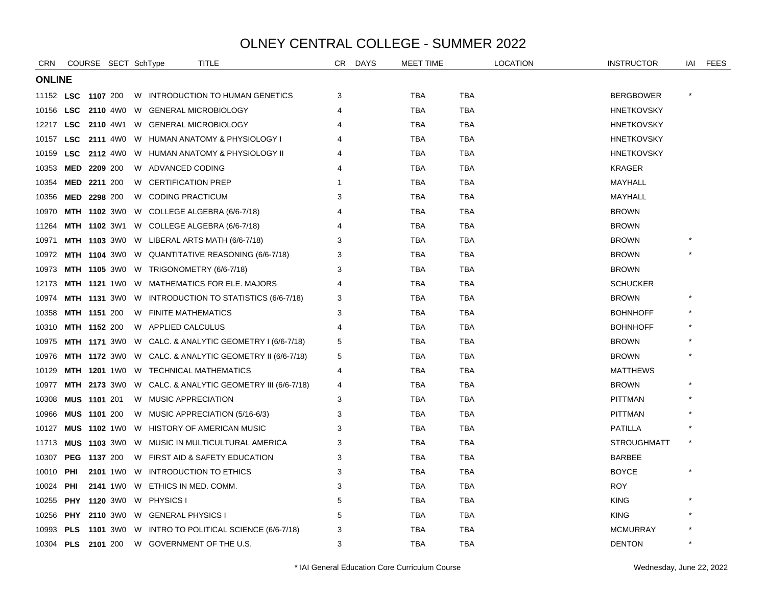| <b>CRN</b>       |                     | COURSE SECT SchType |   | <b>TITLE</b>                                       |                                                               | CR. | <b>DAYS</b> | <b>MEET TIME</b> |            | <b>LOCATION</b> | <b>INSTRUCTOR</b>  | IAI | FEES |
|------------------|---------------------|---------------------|---|----------------------------------------------------|---------------------------------------------------------------|-----|-------------|------------------|------------|-----------------|--------------------|-----|------|
| <b>ONLINE</b>    |                     |                     |   |                                                    |                                                               |     |             |                  |            |                 |                    |     |      |
| 11152 <b>LSC</b> |                     | 1107 200            |   |                                                    | W INTRODUCTION TO HUMAN GENETICS                              | 3   |             | <b>TBA</b>       | TBA        |                 | <b>BERGBOWER</b>   |     |      |
| 10156            | LSC                 | 2110 4W0            |   | W GENERAL MICROBIOLOGY                             |                                                               | 4   |             | TBA              | TBA        |                 | <b>HNETKOVSKY</b>  |     |      |
| 12217            |                     |                     |   | LSC 2110 4W1 W GENERAL MICROBIOLOGY                |                                                               |     |             | <b>TBA</b>       | <b>TBA</b> |                 | <b>HNETKOVSKY</b>  |     |      |
| 10157            | <b>LSC</b>          |                     |   |                                                    | 2111 4W0 W HUMAN ANATOMY & PHYSIOLOGY I                       |     |             | <b>TBA</b>       | <b>TBA</b> |                 | <b>HNETKOVSKY</b>  |     |      |
| 10159            | <b>LSC</b>          | <b>2112</b> 4W0     |   |                                                    | W HUMAN ANATOMY & PHYSIOLOGY II                               |     |             | TBA              | TBA        |                 | <b>HNETKOVSKY</b>  |     |      |
| 10353            | MED 2209 200        |                     |   | W ADVANCED CODING                                  |                                                               |     |             | <b>TBA</b>       | <b>TBA</b> |                 | <b>KRAGER</b>      |     |      |
| 10354            |                     | MED 2211 200        |   | W CERTIFICATION PREP                               |                                                               |     |             | <b>TBA</b>       | TBA        |                 | MAYHALL            |     |      |
| 10356            | <b>MED 2298 200</b> |                     |   | W CODING PRACTICUM                                 |                                                               | 3   |             | TBA              | TBA        |                 | MAYHALL            |     |      |
| 10970            |                     |                     |   | MTH 1102 3W0 W COLLEGE ALGEBRA (6/6-7/18)          |                                                               |     |             | <b>TBA</b>       | <b>TBA</b> |                 | <b>BROWN</b>       |     |      |
| 11264            |                     |                     |   | <b>MTH 1102</b> 3W1 W COLLEGE ALGEBRA (6/6-7/18)   |                                                               |     |             | <b>TBA</b>       | TBA        |                 | <b>BROWN</b>       |     |      |
| 10971            |                     |                     |   | <b>MTH 1103</b> 3W0 W LIBERAL ARTS MATH (6/6-7/18) |                                                               | 3   |             | TBA              | TBA        |                 | <b>BROWN</b>       |     |      |
| 10972            |                     |                     |   |                                                    | MTH 1104 3W0 W QUANTITATIVE REASONING (6/6-7/18)              | 3   |             | TBA              | TBA        |                 | <b>BROWN</b>       |     |      |
| 10973            |                     |                     |   | <b>MTH 1105</b> 3W0 W TRIGONOMETRY (6/6-7/18)      |                                                               | 3   |             | TBA              | TBA        |                 | <b>BROWN</b>       |     |      |
| 12173            |                     |                     |   | <b>MTH 1121 1WO W MATHEMATICS FOR ELE. MAJORS</b>  |                                                               |     |             | TBA              | TBA        |                 | <b>SCHUCKER</b>    |     |      |
| 10974            |                     | <b>MTH 1131 3W0</b> |   |                                                    | W INTRODUCTION TO STATISTICS (6/6-7/18)                       | 3   |             | <b>TBA</b>       | <b>TBA</b> |                 | <b>BROWN</b>       |     |      |
| 10358            |                     | <b>MTH 1151 200</b> |   | W FINITE MATHEMATICS                               |                                                               | 3   |             | TBA              | TBA        |                 | <b>BOHNHOFF</b>    |     |      |
| 10310            |                     | <b>MTH 1152 200</b> |   | W APPLIED CALCULUS                                 |                                                               | 4   |             | <b>TBA</b>       | TBA        |                 | <b>BOHNHOFF</b>    |     |      |
| 10975            |                     | <b>MTH 1171 3W0</b> |   |                                                    | W CALC. & ANALYTIC GEOMETRY I (6/6-7/18)                      | 5   |             | <b>TBA</b>       | <b>TBA</b> |                 | <b>BROWN</b>       |     |      |
| 10976            |                     |                     |   |                                                    | <b>MTH 1172</b> 3W0 W CALC. & ANALYTIC GEOMETRY II (6/6-7/18) | 5   |             | <b>TBA</b>       | TBA        |                 | <b>BROWN</b>       |     |      |
| 10129            |                     |                     |   | <b>MTH 1201 1WO W TECHNICAL MATHEMATICS</b>        |                                                               | 4   |             | <b>TBA</b>       | TBA        |                 | <b>MATTHEWS</b>    |     |      |
| 10977            |                     | <b>MTH 2173 3W0</b> |   |                                                    | W CALC. & ANALYTIC GEOMETRY III (6/6-7/18)                    | 4   |             | <b>TBA</b>       | TBA        |                 | <b>BROWN</b>       |     |      |
| 10308            |                     | <b>MUS 1101 201</b> |   | W MUSIC APPRECIATION                               |                                                               | 3   |             | TBA              | TBA        |                 | <b>PITTMAN</b>     |     |      |
| 10966            | <b>MUS 1101 200</b> |                     |   | W MUSIC APPRECIATION (5/16-6/3)                    |                                                               | 3   |             | TBA              | TBA        |                 | <b>PITTMAN</b>     |     |      |
| 10127            |                     | <b>MUS 1102 1W0</b> |   | W HISTORY OF AMERICAN MUSIC                        |                                                               | 3   |             | <b>TBA</b>       | <b>TBA</b> |                 | <b>PATILLA</b>     |     |      |
| 11713            |                     | <b>MUS 1103 3W0</b> |   |                                                    | W MUSIC IN MULTICULTURAL AMERICA                              | 3   |             | <b>TBA</b>       | TBA        |                 | <b>STROUGHMATT</b> |     |      |
| 10307            |                     | <b>PEG 1137 200</b> |   | W FIRST AID & SAFETY EDUCATION                     |                                                               | 3   |             | <b>TBA</b>       | <b>TBA</b> |                 | <b>BARBEE</b>      |     |      |
| 10010            | PHI                 | <b>2101</b> 1W0     | W | INTRODUCTION TO ETHICS                             |                                                               | 3   |             | <b>TBA</b>       | TBA        |                 | <b>BOYCE</b>       |     |      |
| 10024            | PHI                 |                     |   | 2141 1WO W ETHICS IN MED. COMM.                    |                                                               | 3   |             | TBA              | TBA        |                 | <b>ROY</b>         |     |      |
| 10255            |                     |                     |   | PHY 1120 3W0 W PHYSICS I                           |                                                               | 5   |             | TBA              | TBA        |                 | <b>KING</b>        |     |      |
| 10256            |                     |                     |   | <b>PHY 2110 3WO W GENERAL PHYSICS I</b>            |                                                               | 5   |             | <b>TBA</b>       | TBA        |                 | <b>KING</b>        |     |      |
| 10993            | <b>PLS</b>          |                     |   |                                                    | 1101 3W0 W INTRO TO POLITICAL SCIENCE (6/6-7/18)              | 3   |             | TBA              | TBA        |                 | <b>MCMURRAY</b>    |     |      |
| 10304            | <b>PLS</b> 2101 200 |                     |   | W GOVERNMENT OF THE U.S.                           |                                                               | 3   |             | <b>TBA</b>       | <b>TBA</b> |                 | <b>DENTON</b>      |     |      |